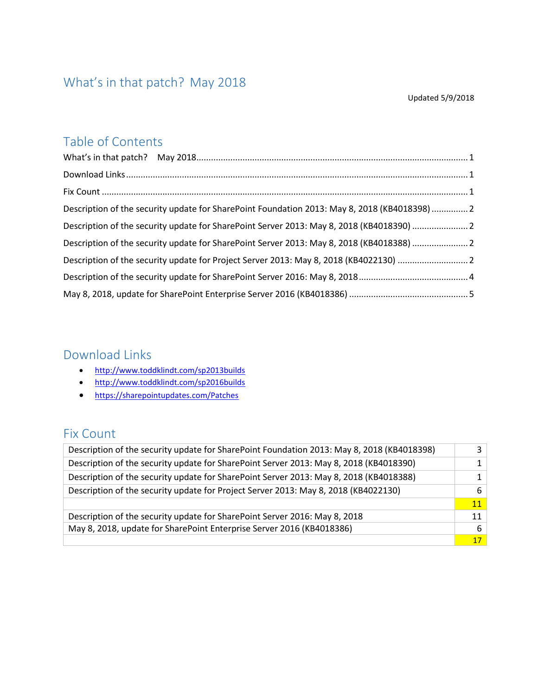## <span id="page-0-0"></span>What's in that patch? May 2018

#### Updated 5/9/2018

### Table of Contents

| Description of the security update for SharePoint Foundation 2013: May 8, 2018 (KB4018398)  2 |  |
|-----------------------------------------------------------------------------------------------|--|
| Description of the security update for SharePoint Server 2013: May 8, 2018 (KB4018390) 2      |  |
| Description of the security update for SharePoint Server 2013: May 8, 2018 (KB4018388) 2      |  |
| Description of the security update for Project Server 2013: May 8, 2018 (KB4022130) 2         |  |
|                                                                                               |  |
|                                                                                               |  |

### <span id="page-0-1"></span>Download Links

- <http://www.toddklindt.com/sp2013builds>
- <http://www.toddklindt.com/sp2016builds>
- <https://sharepointupdates.com/Patches>

#### <span id="page-0-2"></span>Fix Count

| Description of the security update for SharePoint Foundation 2013: May 8, 2018 (KB4018398) |    |
|--------------------------------------------------------------------------------------------|----|
| Description of the security update for SharePoint Server 2013: May 8, 2018 (KB4018390)     |    |
| Description of the security update for SharePoint Server 2013: May 8, 2018 (KB4018388)     |    |
| Description of the security update for Project Server 2013: May 8, 2018 (KB4022130)        | 6  |
|                                                                                            | 11 |
| Description of the security update for SharePoint Server 2016: May 8, 2018                 | 11 |
| May 8, 2018, update for SharePoint Enterprise Server 2016 (KB4018386)                      | 6  |
|                                                                                            | 17 |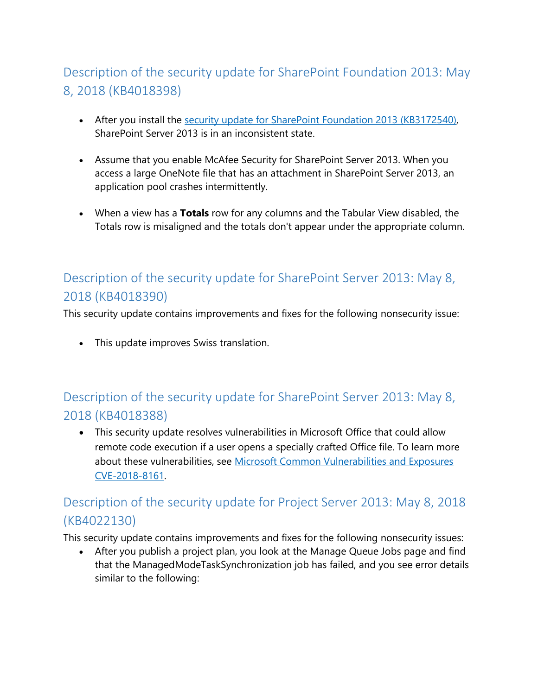# <span id="page-1-0"></span>Description of the security update for SharePoint Foundation 2013: May 8, 2018 (KB4018398)

- After you install the [security update for SharePoint Foundation 2013 \(KB3172540\),](https://support.microsoft.com/en-us/help/3172540) SharePoint Server 2013 is in an inconsistent state.
- Assume that you enable McAfee Security for SharePoint Server 2013. When you access a large OneNote file that has an attachment in SharePoint Server 2013, an application pool crashes intermittently.
- When a view has a **Totals** row for any columns and the Tabular View disabled, the Totals row is misaligned and the totals don't appear under the appropriate column.

# <span id="page-1-1"></span>Description of the security update for SharePoint Server 2013: May 8, 2018 (KB4018390)

This security update contains improvements and fixes for the following nonsecurity issue:

• This update improves Swiss translation.

# <span id="page-1-2"></span>Description of the security update for SharePoint Server 2013: May 8, 2018 (KB4018388)

• This security update resolves vulnerabilities in Microsoft Office that could allow remote code execution if a user opens a specially crafted Office file. To learn more about these vulnerabilities, see [Microsoft Common Vulnerabilities and Exposures](https://portal.msrc.microsoft.com/en-US/security-guidance/advisory/CVE-2018-8161)  [CVE-2018-8161.](https://portal.msrc.microsoft.com/en-US/security-guidance/advisory/CVE-2018-8161)

# <span id="page-1-3"></span>Description of the security update for Project Server 2013: May 8, 2018 (KB4022130)

This security update contains improvements and fixes for the following nonsecurity issues:

• After you publish a project plan, you look at the Manage Queue Jobs page and find that the ManagedModeTaskSynchronization job has failed, and you see error details similar to the following: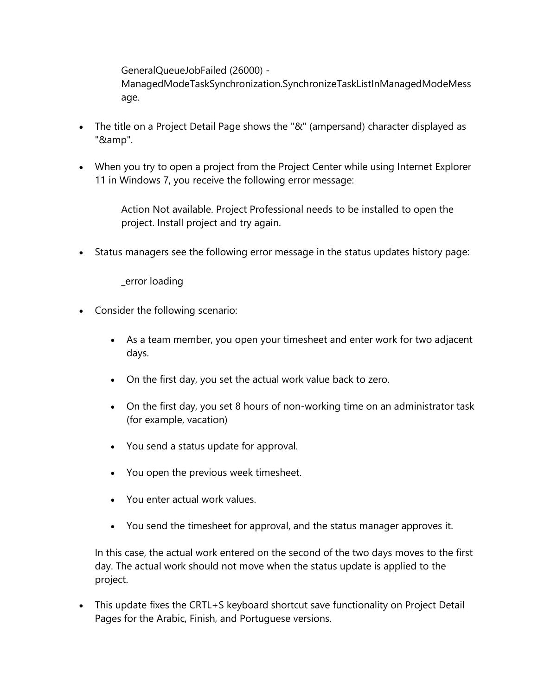GeneralQueueJobFailed (26000) - ManagedModeTaskSynchronization.SynchronizeTaskListInManagedModeMess age.

- The title on a Project Detail Page shows the "&" (ampersand) character displayed as "&amp".
- When you try to open a project from the Project Center while using Internet Explorer 11 in Windows 7, you receive the following error message:

Action Not available. Project Professional needs to be installed to open the project. Install project and try again.

• Status managers see the following error message in the status updates history page:

\_error loading

- Consider the following scenario:
	- As a team member, you open your timesheet and enter work for two adjacent days.
	- On the first day, you set the actual work value back to zero.
	- On the first day, you set 8 hours of non-working time on an administrator task (for example, vacation)
	- You send a status update for approval.
	- You open the previous week timesheet.
	- You enter actual work values.
	- You send the timesheet for approval, and the status manager approves it.

In this case, the actual work entered on the second of the two days moves to the first day. The actual work should not move when the status update is applied to the project.

• This update fixes the CRTL+S keyboard shortcut save functionality on Project Detail Pages for the Arabic, Finish, and Portuguese versions.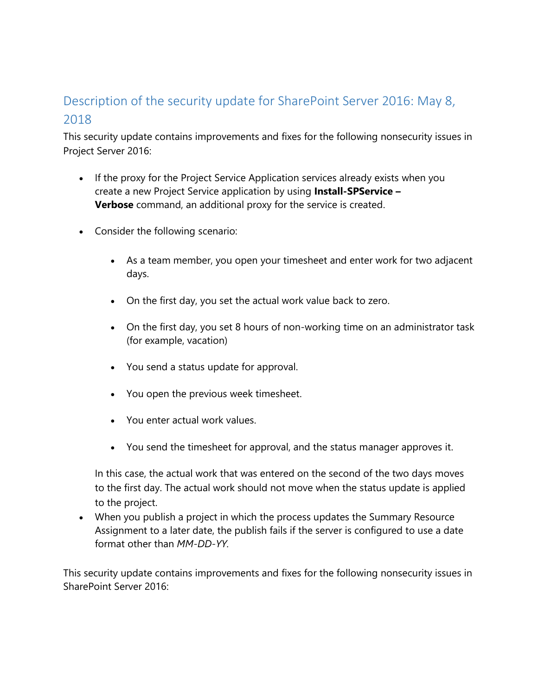## <span id="page-3-0"></span>Description of the security update for SharePoint Server 2016: May 8, 2018

This security update contains improvements and fixes for the following nonsecurity issues in Project Server 2016:

- If the proxy for the Project Service Application services already exists when you create a new Project Service application by using **Install-SPService – Verbose** command, an additional proxy for the service is created.
- Consider the following scenario:
	- As a team member, you open your timesheet and enter work for two adjacent days.
	- On the first day, you set the actual work value back to zero.
	- On the first day, you set 8 hours of non-working time on an administrator task (for example, vacation)
	- You send a status update for approval.
	- You open the previous week timesheet.
	- You enter actual work values.
	- You send the timesheet for approval, and the status manager approves it.

In this case, the actual work that was entered on the second of the two days moves to the first day. The actual work should not move when the status update is applied to the project.

• When you publish a project in which the process updates the Summary Resource Assignment to a later date, the publish fails if the server is configured to use a date format other than *MM-DD-YY.*

This security update contains improvements and fixes for the following nonsecurity issues in SharePoint Server 2016: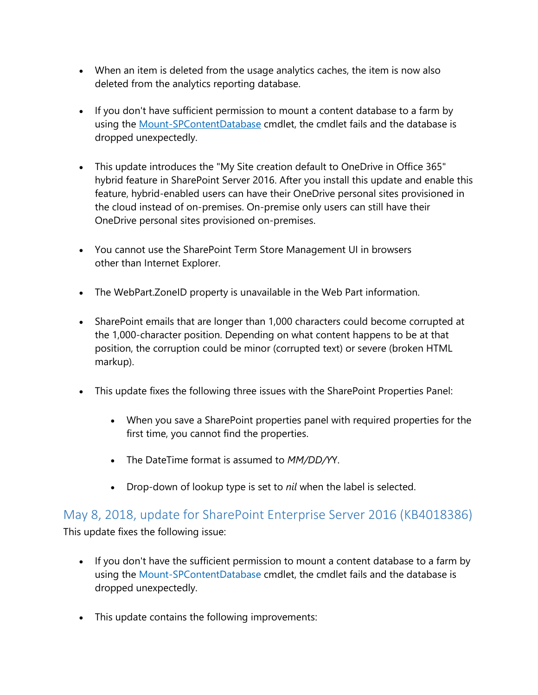- When an item is deleted from the usage analytics caches, the item is now also deleted from the analytics reporting database.
- If you don't have sufficient permission to mount a content database to a farm by using the [Mount-SPContentDatabase](https://docs.microsoft.com/en-us/powershell/module/sharepoint-server/mount-spcontentdatabase) cmdlet, the cmdlet fails and the database is dropped unexpectedly.
- This update introduces the "My Site creation default to OneDrive in Office 365" hybrid feature in SharePoint Server 2016. After you install this update and enable this feature, hybrid-enabled users can have their OneDrive personal sites provisioned in the cloud instead of on-premises. On-premise only users can still have their OneDrive personal sites provisioned on-premises.
- You cannot use the SharePoint Term Store Management UI in browsers other than Internet Explorer.
- The WebPart.ZoneID property is unavailable in the Web Part information.
- SharePoint emails that are longer than 1,000 characters could become corrupted at the 1,000-character position. Depending on what content happens to be at that position, the corruption could be minor (corrupted text) or severe (broken HTML markup).
- This update fixes the following three issues with the SharePoint Properties Panel:
	- When you save a SharePoint properties panel with required properties for the first time, you cannot find the properties.
	- The DateTime format is assumed to *MM/DD/Y*Y.
	- Drop-down of lookup type is set to *nil* when the label is selected.

<span id="page-4-0"></span>May 8, 2018, update for SharePoint Enterprise Server 2016 (KB4018386) This update fixes the following issue:

- If you don't have the sufficient permission to mount a content database to a farm by using the [Mount-SPContentDatabase](https://docs.microsoft.com/en-us/powershell/module/sharepoint-server/mount-spcontentdatabase) cmdlet, the cmdlet fails and the database is dropped unexpectedly.
- This update contains the following improvements: